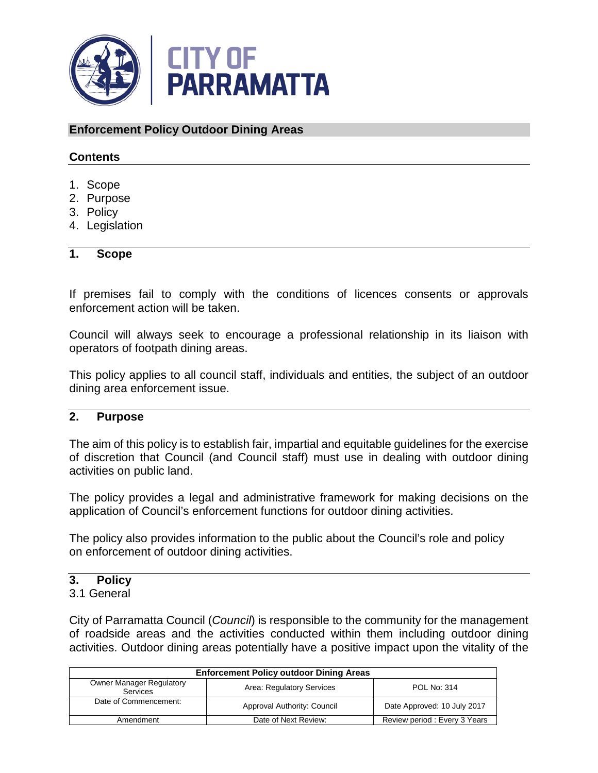

### **Enforcement Policy Outdoor Dining Areas**

## **Contents**

- 1. Scope
- 2. Purpose
- 3. Policy
- 4. Legislation

#### **1. Scope**

If premises fail to comply with the conditions of licences consents or approvals enforcement action will be taken.

Council will always seek to encourage a professional relationship in its liaison with operators of footpath dining areas.

This policy applies to all council staff, individuals and entities, the subject of an outdoor dining area enforcement issue.

### **2. Purpose**

The aim of this policy is to establish fair, impartial and equitable guidelines for the exercise of discretion that Council (and Council staff) must use in dealing with outdoor dining activities on public land.

The policy provides a legal and administrative framework for making decisions on the application of Council's enforcement functions for outdoor dining activities.

The policy also provides information to the public about the Council's role and policy on enforcement of outdoor dining activities.

# **3. Policy**

#### 3.1 General

City of Parramatta Council (*Council*) is responsible to the community for the management of roadside areas and the activities conducted within them including outdoor dining activities. Outdoor dining areas potentially have a positive impact upon the vitality of the

| <b>Enforcement Policy outdoor Dining Areas</b> |                             |                              |  |  |
|------------------------------------------------|-----------------------------|------------------------------|--|--|
| <b>Owner Manager Regulatory</b><br>Services    | Area: Regulatory Services   | POL No: 314                  |  |  |
| Date of Commencement:                          | Approval Authority: Council | Date Approved: 10 July 2017  |  |  |
| Amendment                                      | Date of Next Review:        | Review period: Every 3 Years |  |  |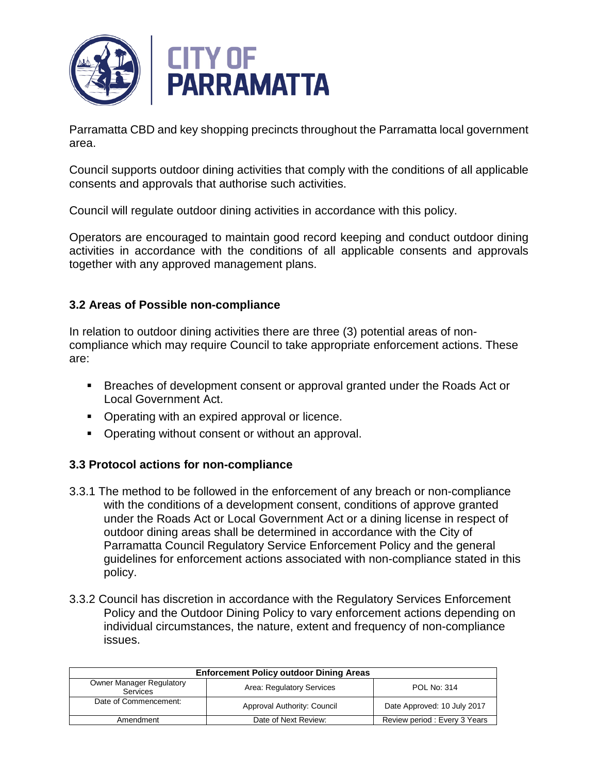

Parramatta CBD and key shopping precincts throughout the Parramatta local government area.

Council supports outdoor dining activities that comply with the conditions of all applicable consents and approvals that authorise such activities.

Council will regulate outdoor dining activities in accordance with this policy.

Operators are encouraged to maintain good record keeping and conduct outdoor dining activities in accordance with the conditions of all applicable consents and approvals together with any approved management plans.

## **3.2 Areas of Possible non-compliance**

In relation to outdoor dining activities there are three (3) potential areas of noncompliance which may require Council to take appropriate enforcement actions. These are:

- **Breaches of development consent or approval granted under the Roads Act or** Local Government Act.
- **Operating with an expired approval or licence.**
- Operating without consent or without an approval.

# **3.3 Protocol actions for non-compliance**

- 3.3.1 The method to be followed in the enforcement of any breach or non-compliance with the conditions of a development consent, conditions of approve granted under the Roads Act or Local Government Act or a dining license in respect of outdoor dining areas shall be determined in accordance with the City of Parramatta Council Regulatory Service Enforcement Policy and the general guidelines for enforcement actions associated with non-compliance stated in this policy.
- 3.3.2 Council has discretion in accordance with the Regulatory Services Enforcement Policy and the Outdoor Dining Policy to vary enforcement actions depending on individual circumstances, the nature, extent and frequency of non-compliance issues.

| <b>Enforcement Policy outdoor Dining Areas</b> |                             |                              |  |  |
|------------------------------------------------|-----------------------------|------------------------------|--|--|
| <b>Owner Manager Regulatory</b><br>Services    | Area: Regulatory Services   | POL No: 314                  |  |  |
| Date of Commencement:                          | Approval Authority: Council | Date Approved: 10 July 2017  |  |  |
| Amendment                                      | Date of Next Review:        | Review period: Every 3 Years |  |  |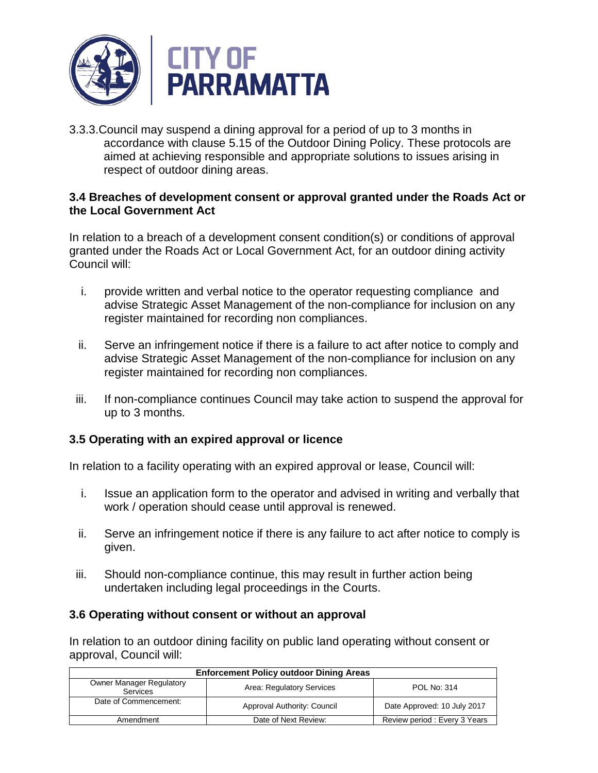

3.3.3.Council may suspend a dining approval for a period of up to 3 months in accordance with clause 5.15 of the Outdoor Dining Policy. These protocols are aimed at achieving responsible and appropriate solutions to issues arising in respect of outdoor dining areas.

### **3.4 Breaches of development consent or approval granted under the Roads Act or the Local Government Act**

In relation to a breach of a development consent condition(s) or conditions of approval granted under the Roads Act or Local Government Act, for an outdoor dining activity Council will:

- i. provide written and verbal notice to the operator requesting compliance and advise Strategic Asset Management of the non-compliance for inclusion on any register maintained for recording non compliances.
- ii. Serve an infringement notice if there is a failure to act after notice to comply and advise Strategic Asset Management of the non-compliance for inclusion on any register maintained for recording non compliances.
- iii. If non-compliance continues Council may take action to suspend the approval for up to 3 months.

# **3.5 Operating with an expired approval or licence**

In relation to a facility operating with an expired approval or lease, Council will:

- i. Issue an application form to the operator and advised in writing and verbally that work / operation should cease until approval is renewed.
- ii. Serve an infringement notice if there is any failure to act after notice to comply is given.
- iii. Should non-compliance continue, this may result in further action being undertaken including legal proceedings in the Courts.

## **3.6 Operating without consent or without an approval**

In relation to an outdoor dining facility on public land operating without consent or approval, Council will:

| <b>Enforcement Policy outdoor Dining Areas</b>     |                             |                              |  |  |
|----------------------------------------------------|-----------------------------|------------------------------|--|--|
| <b>Owner Manager Regulatory</b><br><b>Services</b> | Area: Regulatory Services   | POL No: 314                  |  |  |
| Date of Commencement:                              | Approval Authority: Council | Date Approved: 10 July 2017  |  |  |
| Amendment                                          | Date of Next Review:        | Review period: Every 3 Years |  |  |